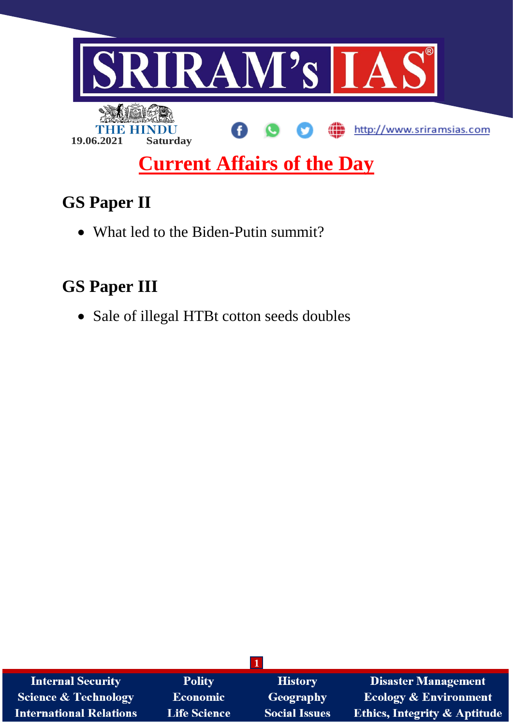

# **GS Paper II**

• What led to the Biden-Putin summit?

# **GS Paper III**

• Sale of illegal HTBt cotton seeds doubles

| <b>Internal Security</b>        | <b>Polity</b>       | <b>History</b>       | <b>Disaster Management</b>              |
|---------------------------------|---------------------|----------------------|-----------------------------------------|
| <b>Science &amp; Technology</b> | <b>Economic</b>     | Geography            | <b>Ecology &amp; Environment</b>        |
| <b>International Relations</b>  | <b>Life Science</b> | <b>Social Issues</b> | <b>Ethics, Integrity &amp; Aptitude</b> |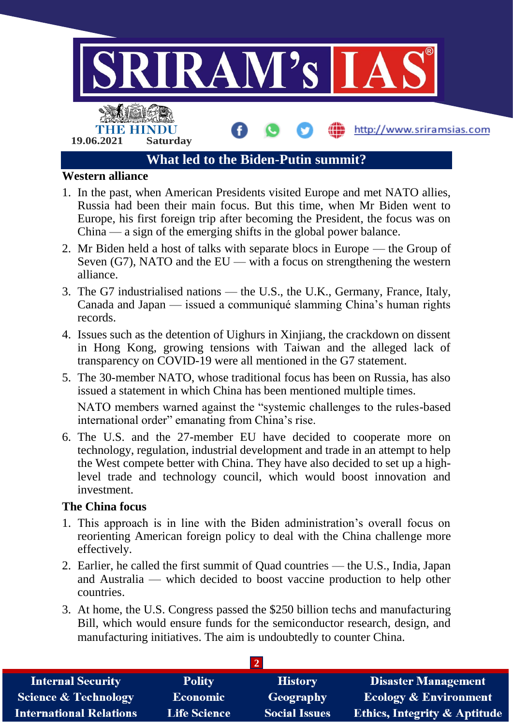

- 1. In the past, when American Presidents visited Europe and met NATO allies, Russia had been their main focus. But this time, when Mr Biden went to Europe, his first foreign trip after becoming the President, the focus was on China — a sign of the emerging shifts in the global power balance.
- 2. Mr Biden held a host of talks with separate blocs in Europe the Group of Seven  $(G7)$ , NATO and the EU — with a focus on strengthening the western alliance.
- 3. The G7 industrialised nations the U.S., the U.K., Germany, France, Italy, Canada and Japan — issued a communiqué slamming China's human rights records.
- 4. Issues such as the detention of Uighurs in Xinjiang, the crackdown on dissent in Hong Kong, growing tensions with Taiwan and the alleged lack of transparency on COVID-19 were all mentioned in the G7 statement.
- 5. The 30-member NATO, whose traditional focus has been on Russia, has also issued a statement in which China has been mentioned multiple times.

NATO members warned against the "systemic challenges to the rules-based international order" emanating from China's rise.

6. The U.S. and the 27-member EU have decided to cooperate more on technology, regulation, industrial development and trade in an attempt to help the West compete better with China. They have also decided to set up a highlevel trade and technology council, which would boost innovation and investment.

### **The China focus**

- 1. This approach is in line with the Biden administration's overall focus on reorienting American foreign policy to deal with the China challenge more effectively.
- 2. Earlier, he called the first summit of Quad countries the U.S., India, Japan and Australia — which decided to boost vaccine production to help other countries.
- 3. At home, the U.S. Congress passed the \$250 billion techs and manufacturing Bill, which would ensure funds for the semiconductor research, design, and manufacturing initiatives. The aim is undoubtedly to counter China.

| <b>Internal Security</b>        | <b>Polity</b>       | <b>History</b>       | <b>Disaster Management</b>              |  |  |  |
|---------------------------------|---------------------|----------------------|-----------------------------------------|--|--|--|
| <b>Science &amp; Technology</b> | Economic            | Geography            | <b>Ecology &amp; Environment</b>        |  |  |  |
| <b>International Relations</b>  | <b>Life Science</b> | <b>Social Issues</b> | <b>Ethics, Integrity &amp; Aptitude</b> |  |  |  |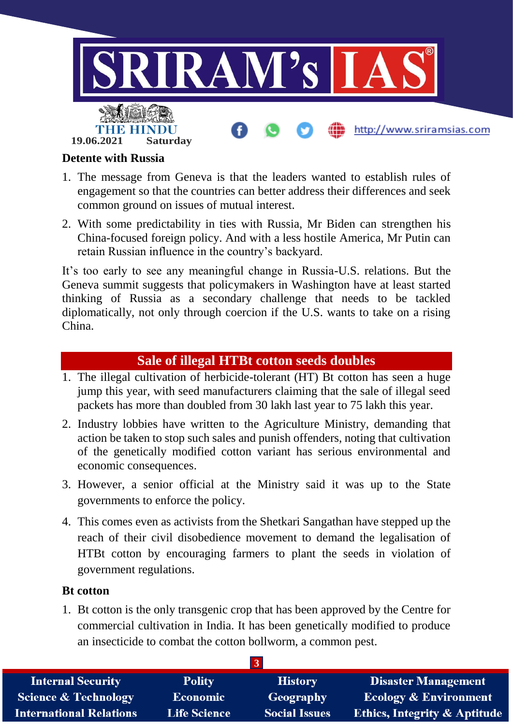

### **Detente with Russia**

- 1. The message from Geneva is that the leaders wanted to establish rules of engagement so that the countries can better address their differences and seek common ground on issues of mutual interest.
- 2. With some predictability in ties with Russia, Mr Biden can strengthen his China-focused foreign policy. And with a less hostile America, Mr Putin can retain Russian influence in the country's backyard.

It's too early to see any meaningful change in Russia-U.S. relations. But the Geneva summit suggests that policymakers in Washington have at least started thinking of Russia as a secondary challenge that needs to be tackled diplomatically, not only through coercion if the U.S. wants to take on a rising China.

### **Sale of illegal HTBt cotton seeds doubles**

- 1. The illegal cultivation of herbicide-tolerant (HT) Bt cotton has seen a huge jump this year, with seed manufacturers claiming that the sale of illegal seed packets has more than doubled from 30 lakh last year to 75 lakh this year.
- 2. Industry lobbies have written to the Agriculture Ministry, demanding that action be taken to stop such sales and punish offenders, noting that cultivation of the genetically modified cotton variant has serious environmental and economic consequences.
- 3. However, a senior official at the Ministry said it was up to the State governments to enforce the policy.
- 4. This comes even as activists from the Shetkari Sangathan have stepped up the reach of their civil disobedience movement to demand the legalisation of HTBt cotton by encouraging farmers to plant the seeds in violation of government regulations.

#### **Bt cotton**

1. Bt cotton is the only transgenic crop that has been approved by the Centre for commercial cultivation in India. It has been genetically modified to produce an insecticide to combat the cotton bollworm, a common pest.

| <b>Internal Security</b>        | <b>Polity</b>       | <b>History</b>       | <b>Disaster Management</b>              |
|---------------------------------|---------------------|----------------------|-----------------------------------------|
| <b>Science &amp; Technology</b> | <b>Economic</b>     | Geography            | <b>Ecology &amp; Environment</b>        |
| <b>International Relations</b>  | <b>Life Science</b> | <b>Social Issues</b> | <b>Ethics, Integrity &amp; Aptitude</b> |